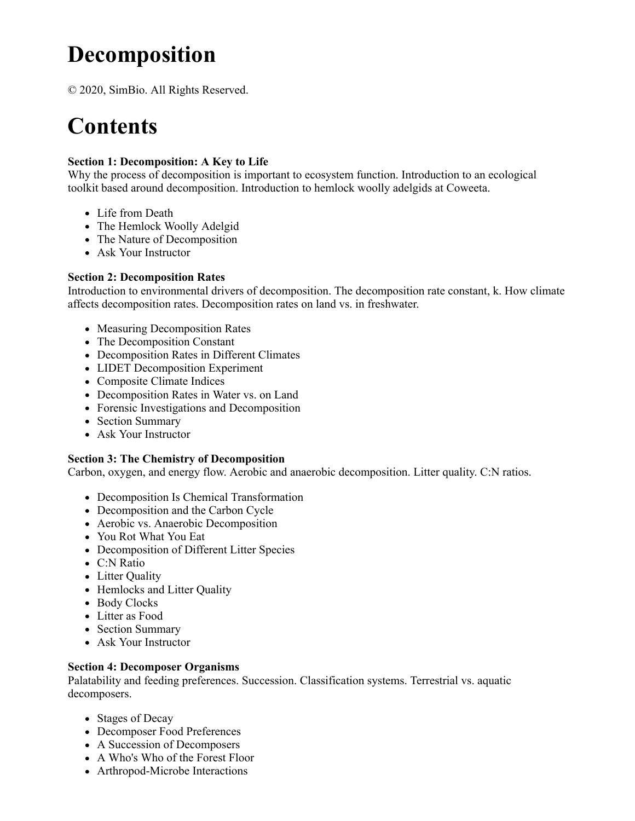# **Decomposition**

© 2020, SimBio. All Rights Reserved.

## **Contents**

#### **Section 1: Decomposition: A Key to Life**

Why the process of decomposition is important to ecosystem function. Introduction to an ecological toolkit based around decomposition. Introduction to hemlock woolly adelgids at Coweeta.

- Life from Death
- The Hemlock Woolly Adelgid
- The Nature of Decomposition
- Ask Your Instructor

#### **Section 2: Decomposition Rates**

Introduction to environmental drivers of decomposition. The decomposition rate constant, k. How climate affects decomposition rates. Decomposition rates on land vs. in freshwater.

- Measuring Decomposition Rates
- The Decomposition Constant
- Decomposition Rates in Different Climates
- LIDET Decomposition Experiment
- Composite Climate Indices
- Decomposition Rates in Water vs. on Land
- Forensic Investigations and Decomposition
- Section Summary
- Ask Your Instructor

#### **Section 3: The Chemistry of Decomposition**

Carbon, oxygen, and energy flow. Aerobic and anaerobic decomposition. Litter quality. C:N ratios.

- Decomposition Is Chemical Transformation
- Decomposition and the Carbon Cycle
- Aerobic vs. Anaerobic Decomposition
- You Rot What You Eat
- Decomposition of Different Litter Species
- C:N Ratio
- Litter Quality
- Hemlocks and Litter Quality
- Body Clocks
- Litter as Food
- Section Summary
- Ask Your Instructor

#### **Section 4: Decomposer Organisms**

Palatability and feeding preferences. Succession. Classification systems. Terrestrial vs. aquatic decomposers.

- Stages of Decay
- Decomposer Food Preferences
- A Succession of Decomposers
- A Who's Who of the Forest Floor
- Arthropod-Microbe Interactions